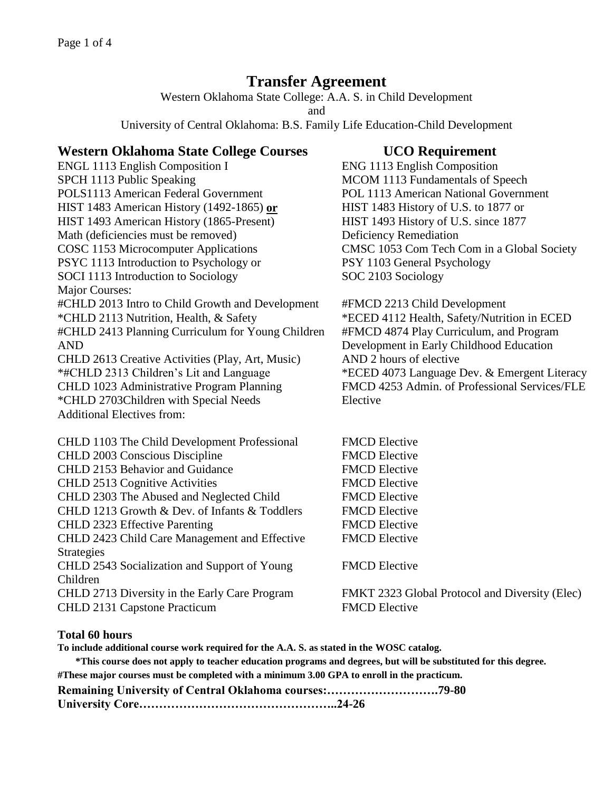# **Transfer Agreement**

Western Oklahoma State College: A.A. S. in Child Development

and

University of Central Oklahoma: B.S. Family Life Education-Child Development

## **Western Oklahoma State College Courses UCO Requirement**

ENGL 1113 English Composition I ENG 1113 English Composition SPCH 1113 Public Speaking MCOM 1113 Fundamentals of Speech POLS1113 American Federal Government POL 1113 American National Government HIST 1483 American History (1492-1865) **or** HIST 1483 History of U.S. to 1877 or HIST 1493 American History (1865-Present) HIST 1493 History of U.S. since 1877 Math (deficiencies must be removed) Deficiency Remediation COSC 1153 Microcomputer Applications CMSC 1053 Com Tech Com in a Global Society PSYC 1113 Introduction to Psychology or PSY 1103 General Psychology SOCI 1113 Introduction to Sociology SOC 2103 Sociology Major Courses: #CHLD 2013 Intro to Child Growth and Development #FMCD 2213 Child Development \*CHLD 2113 Nutrition, Health, & Safety \*ECED 4112 Health, Safety/Nutrition in ECED #CHLD 2413 Planning Curriculum for Young Children AND CHLD 2613 Creative Activities (Play, Art, Music) \*#CHLD 2313 Children's Lit and Language \*ECED 4073 Language Dev. & Emergent Literacy

\*CHLD 2703Children with Special Needs Elective Additional Electives from:

CHLD 1103 The Child Development Professional FMCD Elective CHLD 2003 Conscious Discipline FMCD Elective CHLD 2153 Behavior and Guidance FMCD Elective CHLD 2513 Cognitive Activities FMCD Elective CHLD 2303 The Abused and Neglected Child FMCD Elective CHLD 1213 Growth & Dev. of Infants & Toddlers FMCD Elective CHLD 2323 Effective Parenting FMCD Elective CHLD 2423 Child Care Management and Effective **Strategies** CHLD 2543 Socialization and Support of Young Children CHLD 2713 Diversity in the Early Care Program FMKT 2323 Global Protocol and Diversity (Elec) CHLD 2131 Capstone Practicum FMCD Elective

#FMCD 4874 Play Curriculum, and Program Development in Early Childhood Education AND 2 hours of elective CHLD 1023 Administrative Program Planning FMCD 4253 Admin. of Professional Services/FLE

FMCD Elective

FMCD Elective

### **Total 60 hours**

**To include additional course work required for the A.A. S. as stated in the WOSC catalog.**

**\*This course does not apply to teacher education programs and degrees, but will be substituted for this degree.**

**#These major courses must be completed with a minimum 3.00 GPA to enroll in the practicum.**

| Remaining University of Central Oklahoma courses:79-80 |  |
|--------------------------------------------------------|--|
|--------------------------------------------------------|--|

**University Core…………………………………………..24-26**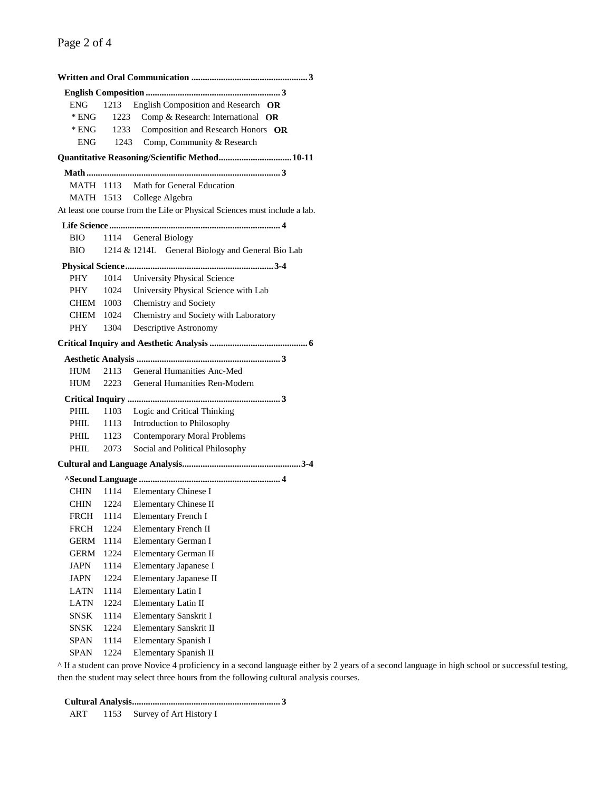| <b>ENG</b>  |      | 1213 English Composition and Research OR                                   |
|-------------|------|----------------------------------------------------------------------------|
| $*$ ENG     | 1223 | Comp & Research: International OR                                          |
| * ENG       |      | 1233 Composition and Research Honors OR                                    |
| <b>ENG</b>  |      | 1243 Comp, Community & Research                                            |
|             |      | Quantitative Reasoning/Scientific Method 10-11                             |
|             |      |                                                                            |
| MATH 1113   |      | Math for General Education                                                 |
|             |      | MATH 1513 College Algebra                                                  |
|             |      | At least one course from the Life or Physical Sciences must include a lab. |
|             |      |                                                                            |
| BIO         |      | 1114 General Biology                                                       |
| BIO         |      | 1214 & 1214L General Biology and General Bio Lab                           |
|             |      |                                                                            |
| <b>PHY</b>  | 1014 | University Physical Science                                                |
| PHY         | 1024 | University Physical Science with Lab                                       |
| CHEM        | 1003 | Chemistry and Society                                                      |
| CHEM        | 1024 | Chemistry and Society with Laboratory                                      |
| PHY         | 1304 | Descriptive Astronomy                                                      |
|             |      |                                                                            |
|             |      |                                                                            |
| HUM         | 2113 | General Humanities Anc-Med                                                 |
| HUM         | 2223 | General Humanities Ren-Modern                                              |
|             |      |                                                                            |
| PHIL        | 1103 | Logic and Critical Thinking                                                |
| PHIL        | 1113 | Introduction to Philosophy                                                 |
| PHIL        | 1123 | <b>Contemporary Moral Problems</b>                                         |
| PHIL        | 2073 | Social and Political Philosophy                                            |
|             |      |                                                                            |
|             |      |                                                                            |
| CHIN        |      | 1114 Elementary Chinese I                                                  |
| CHIN        |      | 1224 Elementary Chinese II                                                 |
|             |      | FRCH 1114 Elementary French I                                              |
| <b>FRCH</b> | 1224 | <b>Elementary French II</b>                                                |
| GERM        | 1114 | Elementary German I                                                        |
| GERM        | 1224 | Elementary German II                                                       |
| JAPN        | 1114 | Elementary Japanese I                                                      |
| JAPN        | 1224 | Elementary Japanese II                                                     |
| <b>LATN</b> | 1114 | Elementary Latin I                                                         |
| LATN        | 1224 | Elementary Latin II                                                        |
| SNSK        | 1114 | Elementary Sanskrit I                                                      |
| <b>SNSK</b> | 1224 | Elementary Sanskrit II                                                     |
| SPAN        | 1114 | Elementary Spanish I                                                       |
| SPAN        | 1224 | Elementary Spanish II                                                      |

^ If a student can prove Novice 4 proficiency in a second language either by 2 years of a second language in high school or successful testing, then the student may select three hours from the following cultural analysis courses.

 **Cultural Analysis................................................................. 3**

ART 1153 Survey of Art History I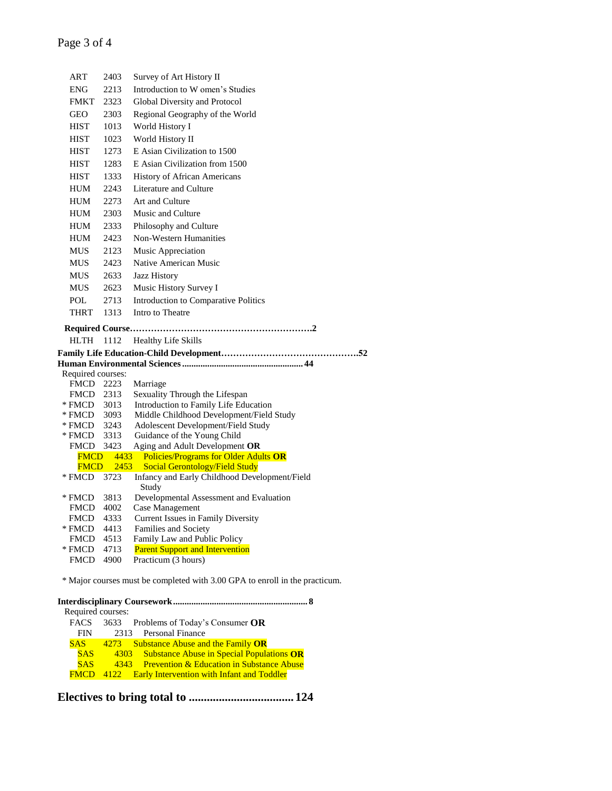| ART                   | 2403         | Survey of Art History II                                          |  |  |  |  |
|-----------------------|--------------|-------------------------------------------------------------------|--|--|--|--|
| <b>ENG</b>            | 2213         | Introduction to W omen's Studies                                  |  |  |  |  |
| <b>FMKT</b>           | 2323         | Global Diversity and Protocol                                     |  |  |  |  |
| <b>GEO</b>            | 2303         | Regional Geography of the World                                   |  |  |  |  |
| <b>HIST</b>           | 1013         | World History I                                                   |  |  |  |  |
| <b>HIST</b>           | 1023         | World History II                                                  |  |  |  |  |
| <b>HIST</b>           | 1273         | E Asian Civilization to 1500                                      |  |  |  |  |
| <b>HIST</b>           | 1283         | E Asian Civilization from 1500                                    |  |  |  |  |
| <b>HIST</b>           | 1333         | <b>History of African Americans</b>                               |  |  |  |  |
| <b>HUM</b>            | 2243         | Literature and Culture                                            |  |  |  |  |
| <b>HUM</b>            | 2273         | Art and Culture                                                   |  |  |  |  |
| <b>HUM</b>            | 2303         | Music and Culture                                                 |  |  |  |  |
| <b>HUM</b>            | 2333         | Philosophy and Culture                                            |  |  |  |  |
| <b>HUM</b>            | 2423         | Non-Western Humanities                                            |  |  |  |  |
| <b>MUS</b>            | 2123         | <b>Music Appreciation</b>                                         |  |  |  |  |
| <b>MUS</b>            | 2423         | Native American Music                                             |  |  |  |  |
| <b>MUS</b>            | 2633         | Jazz History                                                      |  |  |  |  |
| <b>MUS</b>            | 2623         | Music History Survey I                                            |  |  |  |  |
| POL                   | 2713         | Introduction to Comparative Politics                              |  |  |  |  |
| <b>THRT</b>           | 1313         | Intro to Theatre                                                  |  |  |  |  |
|                       |              |                                                                   |  |  |  |  |
|                       |              |                                                                   |  |  |  |  |
|                       |              |                                                                   |  |  |  |  |
| HLTH 1112             |              | <b>Healthy Life Skills</b>                                        |  |  |  |  |
|                       |              |                                                                   |  |  |  |  |
| Required courses:     |              |                                                                   |  |  |  |  |
| FMCD 2223             |              | Marriage                                                          |  |  |  |  |
| FMCD                  | 2313         | Sexuality Through the Lifespan                                    |  |  |  |  |
| * FMCD                | 3013         | Introduction to Family Life Education                             |  |  |  |  |
| * FMCD                | 3093         | Middle Childhood Development/Field Study                          |  |  |  |  |
| * FMCD<br>* FMCD      | 3243<br>3313 | Adolescent Development/Field Study<br>Guidance of the Young Child |  |  |  |  |
| FMCD 3423             |              | Aging and Adult Development OR                                    |  |  |  |  |
| <b>FMCD</b>           |              | 4433 Policies/Programs for Older Adults OR                        |  |  |  |  |
| <b>FMCD</b>           | 2453         | <b>Social Gerontology/Field Study</b>                             |  |  |  |  |
| * FMCD 3723           |              | Infancy and Early Childhood Development/Field                     |  |  |  |  |
| * FMCD                | 3813         | Study<br>Developmental Assessment and Evaluation                  |  |  |  |  |
| <b>FMCD</b>           | 4002         | Case Management                                                   |  |  |  |  |
| <b>FMCD</b>           | 4333         | Current Issues in Family Diversity                                |  |  |  |  |
| * FMCD                | 4413         | Families and Society                                              |  |  |  |  |
| <b>FMCD</b>           | 4513         | Family Law and Public Policy                                      |  |  |  |  |
| * FMCD<br><b>FMCD</b> | 4713<br>4900 | <b>Parent Support and Intervention</b><br>Practicum (3 hours)     |  |  |  |  |

\* Major courses must be completed with 3.00 GPA to enroll in the practicum.

| Required courses: |                                                           |
|-------------------|-----------------------------------------------------------|
| FACS              | 3633 Problems of Today's Consumer $OR$                    |
| <b>FIN</b>        | 2313 Personal Finance                                     |
| SAS               | 4273 Substance Abuse and the Family OR                    |
| <b>SAS</b>        | 4303 Substance Abuse in Special Populations OR            |
| <b>SAS</b>        | 4343 Prevention & Education in Substance Abuse            |
| <b>FMCD</b>       | <b>Early Intervention with Infant and Toddler</b><br>4122 |
|                   |                                                           |

**Electives to bring total to ................................... 124**